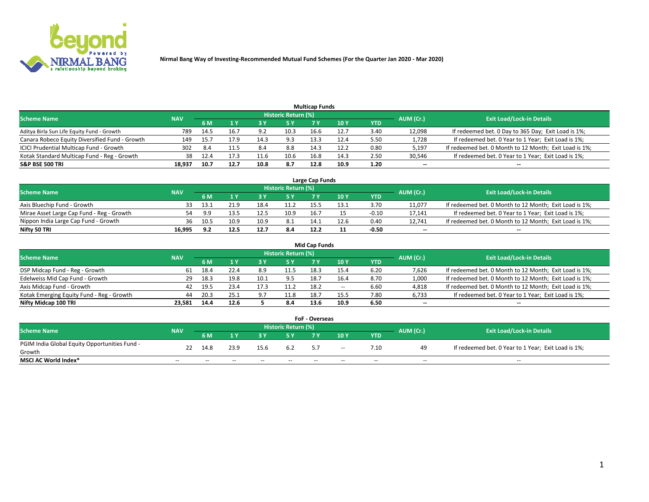

|                                                |            |      |      |      |                     | <b>Multicap Funds</b> |      |      |           |                                                        |
|------------------------------------------------|------------|------|------|------|---------------------|-----------------------|------|------|-----------|--------------------------------------------------------|
| Scheme Name                                    | <b>NAV</b> |      |      |      | Historic Return (%) |                       |      |      | AUM (Cr.) | <b>Exit Load/Lock-in Details</b>                       |
|                                                |            | 6 M  |      |      | 5 Y                 | 7 Y                   | 10Y  | YTD  |           |                                                        |
| Aditya Birla Sun Life Equity Fund - Growth     | 789        | 14.5 | 16.7 |      | 10.3                | 16.6                  | 12.7 | 3.40 | 12,098    | If redeemed bet. 0 Day to 365 Day; Exit Load is 1%;    |
| Canara Robeco Equity Diversified Fund - Growth | 149        | 15.7 | 17.9 | 14.3 | 9.3                 | 13.3                  | 12.4 | 5.50 | 1,728     | If redeemed bet. 0 Year to 1 Year; Exit Load is 1%;    |
| ICICI Prudential Multicap Fund - Growth        | 302        | -8.4 |      |      | 8.8                 | 14.3                  | 12.2 | 0.80 | 5,197     | If redeemed bet. 0 Month to 12 Month; Exit Load is 1%; |
| Kotak Standard Multicap Fund - Reg - Growth    | 38         | 12.4 |      | 11.6 | 10.6                | 16.8                  | 14.3 | 2.50 | 30,546    | If redeemed bet. 0 Year to 1 Year; Exit Load is 1%;    |
| <b>S&amp;P BSE 500 TRI</b>                     | 18.937     | 10.7 | 12.7 | 10.8 | 8.7                 | 12.8                  | 10.9 | 1.20 | $\sim$    | $- -$                                                  |

| Large Cap Funds                           |            |      |      |      |                     |       |      |         |           |                                                        |  |  |  |  |
|-------------------------------------------|------------|------|------|------|---------------------|-------|------|---------|-----------|--------------------------------------------------------|--|--|--|--|
| Scheme Name                               | <b>NAV</b> |      |      |      | Historic Return (%) |       |      |         | AUM (Cr.) | <b>Exit Load/Lock-in Details</b>                       |  |  |  |  |
|                                           |            | 6 M  |      |      | 5 Y                 | 7 Y   | 10Y  | YTD     |           |                                                        |  |  |  |  |
| Axis Bluechip Fund - Growth               |            | 13.1 | 21.9 | 18.4 | 11.2                | 1 5 L | 13.1 | 3.70    | 11,077    | If redeemed bet. 0 Month to 12 Month; Exit Load is 1%; |  |  |  |  |
| Mirae Asset Large Cap Fund - Reg - Growth | 54         | 9.9  | 13.5 |      | 10.9                | 16.7  |      | $-0.10$ | 17,141    | If redeemed bet. 0 Year to 1 Year; Exit Load is 1%;    |  |  |  |  |
| Nippon India Large Cap Fund - Growth      | 36         | 10.5 | 10.9 | 10.9 | -8.1                | 14.1  | 12.6 | 0.40    | 12.741    | If redeemed bet. 0 Month to 12 Month; Exit Load is 1%; |  |  |  |  |
| Nifty 50 TRI                              | 16.995     | ດ າ  | 12.5 | 12.7 | 8.4                 | 12.2  |      | $-0.50$ | $\sim$    | $-$                                                    |  |  |  |  |

|                                           |            |      |      |      |                     | <b>Mid Cap Funds</b> |      |            |           |                                                        |
|-------------------------------------------|------------|------|------|------|---------------------|----------------------|------|------------|-----------|--------------------------------------------------------|
| <b>Scheme Name</b>                        | <b>NAV</b> |      |      |      | Historic Return (%) |                      |      |            | AUM (Cr.) | <b>Exit Load/Lock-in Details</b>                       |
|                                           |            | 6 M  |      |      | 5 Y                 |                      | 10 Y | <b>YTD</b> |           |                                                        |
| DSP Midcap Fund - Reg - Growth            | 61         | 18.4 | 22.4 | 8.9  | 11.5                | 18.3                 | 15.4 | 6.20       | 7,626     | If redeemed bet. 0 Month to 12 Month; Exit Load is 1%; |
| Edelweiss Mid Cap Fund - Growth           | 29         | 18.3 | 19.8 | 10.1 | 9.5                 | 18.7                 | 16.4 | 8.70       | 1,000     | If redeemed bet. 0 Month to 12 Month; Exit Load is 1%; |
| Axis Midcap Fund - Growth                 | 42         | 19.5 | 23.4 | 17.3 | 11.2                | 18.2                 | $-$  | 6.60       | 4,818     | If redeemed bet. 0 Month to 12 Month; Exit Load is 1%; |
| Kotak Emerging Equity Fund - Reg - Growth | 44         | 20.3 | 25.1 | 9.7  | 11.8                | 18.7                 | 15.5 | 7.80       | 6,733     | If redeemed bet. 0 Year to 1 Year; Exit Load is 1%;    |
| Nifty Midcap 100 TRI                      | 23.581     | 14.4 | 12.6 |      | 8.4                 | 13.6                 | 10.9 | 6.50       | $\sim$    | $\sim$                                                 |

| <b>FoF - Overseas</b>                         |            |       |       |       |                            |    |        |            |           |                                                     |  |  |  |
|-----------------------------------------------|------------|-------|-------|-------|----------------------------|----|--------|------------|-----------|-----------------------------------------------------|--|--|--|
| <b>Scheme Name</b>                            | <b>NAV</b> |       |       |       | <b>Historic Return (%)</b> |    |        |            | AUM (Cr.) | <b>Exit Load/Lock-in Details</b>                    |  |  |  |
|                                               |            | 6 M   |       |       |                            |    | 10Y    | <b>YTD</b> |           |                                                     |  |  |  |
| PGIM India Global Equity Opportunities Fund - | 22         | 14.8  | 23.9  | 15.6  | 6.2                        | 57 | $\sim$ | 7.10       | 49        | If redeemed bet. 0 Year to 1 Year; Exit Load is 1%; |  |  |  |
| Growth                                        |            |       |       |       |                            |    |        |            |           |                                                     |  |  |  |
| <b>MSCI AC World Index*</b>                   | $- -$      | $- -$ | $- -$ | $- -$ | $- -$                      | -- | $- -$  | $- -$      | $- -$     | $- -$                                               |  |  |  |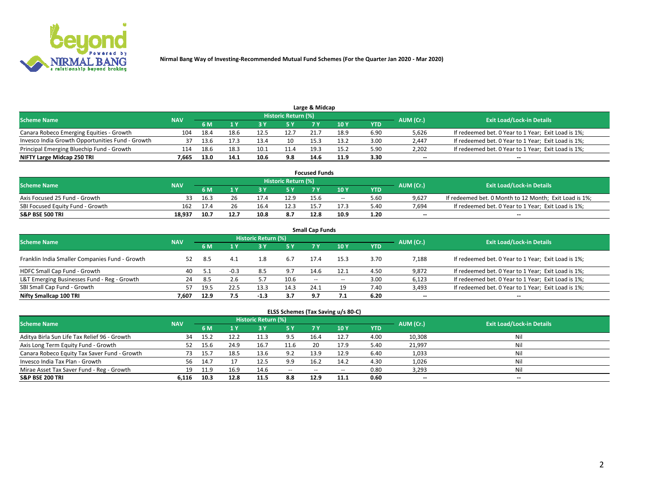

| Large & Midcap                                   |            |      |      |      |                     |      |      |      |                          |                                                     |  |  |  |  |
|--------------------------------------------------|------------|------|------|------|---------------------|------|------|------|--------------------------|-----------------------------------------------------|--|--|--|--|
| <b>Scheme Name</b>                               | <b>NAV</b> |      |      |      | Historic Return (%) |      |      |      | AUM (Cr.)                | <b>Exit Load/Lock-in Details</b>                    |  |  |  |  |
|                                                  |            | 6 M  |      |      | 5 Y                 |      | 10Y  | YTD. |                          |                                                     |  |  |  |  |
| Canara Robeco Emerging Equities - Growth         | 104        | 18.4 | 18.6 | 12.5 | 12.7                | 21.7 | 18.9 | 6.90 | 5,626                    | If redeemed bet. 0 Year to 1 Year; Exit Load is 1%; |  |  |  |  |
| Invesco India Growth Opportunities Fund - Growth |            | 13.6 |      | 13.4 | 10                  | 15.3 | 13.2 | 3.00 | 2,447                    | If redeemed bet. 0 Year to 1 Year; Exit Load is 1%; |  |  |  |  |
| Principal Emerging Bluechip Fund - Growth        | 114        | 18.6 | 18.3 | 10.1 | 11.4                | 19.3 | 15.2 | 5.90 | 2,202                    | If redeemed bet. 0 Year to 1 Year; Exit Load is 1%; |  |  |  |  |
| NIFTY Large Midcap 250 TRI                       | 7.665      | 13.0 | 14.1 | 10.6 | 9.8                 | 14.6 | 11.9 | 3.30 | $\overline{\phantom{a}}$ | $- -$                                               |  |  |  |  |

| <b>Focused Funds</b>             |            |      |      |      |                     |      |       |      |           |                                                        |  |  |  |
|----------------------------------|------------|------|------|------|---------------------|------|-------|------|-----------|--------------------------------------------------------|--|--|--|
| <b>Scheme Name</b>               | <b>NAV</b> |      |      |      | Historic Return (%) |      |       |      |           | <b>Exit Load/Lock-in Details</b>                       |  |  |  |
|                                  |            | 6 M  |      |      |                     |      | 10 Y  | YTD  | AUM (Cr.) |                                                        |  |  |  |
| Axis Focused 25 Fund - Growth    |            | 16.3 |      | 17.4 | 12.9                | 15.6 | $- -$ | 5.60 | 9.627     | If redeemed bet. 0 Month to 12 Month; Exit Load is 1%; |  |  |  |
| SBI Focused Equity Fund - Growth | 162        | 17.4 |      |      | 12.3                | 15.7 | 17.5  | 5.40 | 7.694     | If redeemed bet. 0 Year to 1 Year; Exit Load is 1%;    |  |  |  |
| <b>S&amp;P BSE 500 TRI</b>       | 18.937     | 10.7 | 12.7 |      | 8.7                 | 12.8 | 10.9  | 1.20 | $\sim$    | $- -$                                                  |  |  |  |

|                                                |            |      |        |                     |      | <b>Small Cap Funds</b> |       |            |           |                                                     |
|------------------------------------------------|------------|------|--------|---------------------|------|------------------------|-------|------------|-----------|-----------------------------------------------------|
| <b>Scheme Name</b>                             | <b>NAV</b> |      |        | Historic Return (%) |      |                        |       |            | AUM (Cr.) | <b>Exit Load/Lock-in Details</b>                    |
|                                                |            | 6 M  |        |                     | 5 Y  |                        | 10Y   | <b>YTD</b> |           |                                                     |
| Franklin India Smaller Companies Fund - Growth | 52         | -8.5 | 4.1    | ⊥.8                 | 6.7  | 17.4                   | 15.3  | 3.70       | 7,188     | If redeemed bet. 0 Year to 1 Year; Exit Load is 1%; |
| HDFC Small Cap Fund - Growth                   | 40         |      | $-0.3$ | 8.5                 | 9.7  | 14.6                   | 12.1  | 4.50       | 9,872     | If redeemed bet. 0 Year to 1 Year; Exit Load is 1%; |
| L&T Emerging Businesses Fund - Reg - Growth    | 24         | -8.5 | 2.6    |                     | 10.6 | $- -$                  | $- -$ | 3.00       | 6,123     | If redeemed bet. 0 Year to 1 Year; Exit Load is 1%; |
| SBI Small Cap Fund - Growth                    | 57         | 19.5 | 22.5   | 13.3                | 14.3 | 24.1                   | 19    | 7.40       | 3,493     | If redeemed bet. 0 Year to 1 Year; Exit Load is 1%; |
| Nifty Smallcap 100 TRI                         | 7.607      | 12.9 | 7.5    | $-1.3$              | 3.7  | 9.7                    |       | 6.20       | $\sim$    | $- -$                                               |

## **ELSS Schemes (Tax Saving u/s 80-C)**

| <b>Scheme Name</b>                           | <b>NAV</b> |      |      | <b>Historic Return (%)</b> |           |      |      |      | AUM (Cr.) | <b>Exit Load/Lock-in Details</b> |
|----------------------------------------------|------------|------|------|----------------------------|-----------|------|------|------|-----------|----------------------------------|
|                                              |            | 6 M  | 1 Y  | 3 Y                        | <b>5Y</b> | 7 Y  | 10Y  | YTD  |           |                                  |
| Aditya Birla Sun Life Tax Relief 96 - Growth | 34         | 15.2 |      |                            | 9.5       | 16.4 | 12.7 | 4.00 | 10,308    | Nil                              |
| Axis Long Term Equity Fund - Growth          | 52         | 15.6 | 24.9 | 16.7                       | 11.6      | 20   | 17.9 | 5.40 | 21,997    | Nil                              |
| Canara Robeco Equity Tax Saver Fund - Growth | 73         | 15.7 | 18.5 | 13.6                       | 9.2       | 13.9 | 12.9 | 6.40 | 1,033     | Nil                              |
| Invesco India Tax Plan - Growth              | 56         | 14.7 |      | 12.5                       | 9.9       | 16.2 | 14.2 | 4.30 | 1,026     | Nil                              |
| Mirae Asset Tax Saver Fund - Reg - Growth    | 19         | 11.9 | 16.9 | 14.6                       | $- -$     | --   | --   | 0.80 | 3,293     | Nil                              |
| S&P BSE 200 TRI                              | 6.116      | 10.3 | 12.8 | 11.5                       | 8.8       | 12.9 | 11.1 | 0.60 | $\sim$    | $- -$                            |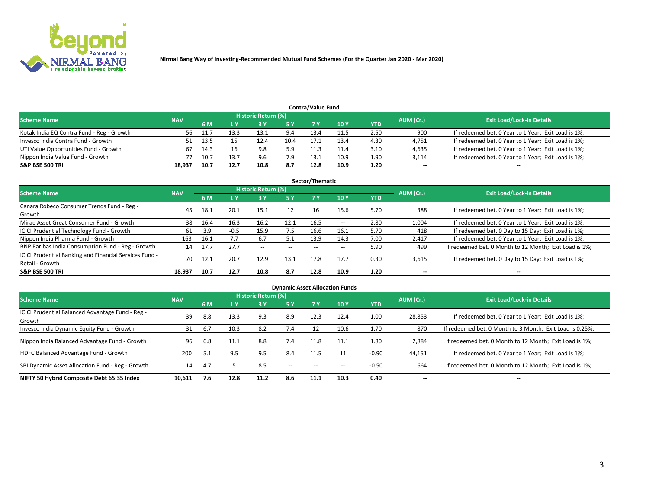

| <b>Contra/Value Fund</b>                                                                                        |        |      |      |      |      |      |      |            |        |                                                     |  |  |  |  |
|-----------------------------------------------------------------------------------------------------------------|--------|------|------|------|------|------|------|------------|--------|-----------------------------------------------------|--|--|--|--|
| <b>Historic Return (%)</b><br><b>Exit Load/Lock-in Details</b><br>AUM (Cr.)<br><b>Scheme Name</b><br><b>NAV</b> |        |      |      |      |      |      |      |            |        |                                                     |  |  |  |  |
|                                                                                                                 |        | 6 M  |      |      | 5 Y  | 7 V  | 10Y  | <b>YTD</b> |        |                                                     |  |  |  |  |
| Kotak India EQ Contra Fund - Reg - Growth                                                                       | 56.    |      | 13.3 | 13.1 | 9.4  | 13.4 | 11.5 | 2.50       | 900    | If redeemed bet. 0 Year to 1 Year; Exit Load is 1%; |  |  |  |  |
| Invesco India Contra Fund - Growth                                                                              |        | 13.5 |      | 12.4 | 10.4 | 17.1 | 13.4 | 4.30       | 4,751  | If redeemed bet. 0 Year to 1 Year; Exit Load is 1%; |  |  |  |  |
| UTI Value Opportunities Fund - Growth                                                                           |        | 14.3 |      | 9.8  | 5.9  |      | 11.4 | 3.10       | 4,635  | If redeemed bet. 0 Year to 1 Year; Exit Load is 1%; |  |  |  |  |
| Nippon India Value Fund - Growth                                                                                |        | 10.7 | 13.7 | 9.6  | 7.9  | 13.1 | 10.9 | 1.90       | 3,114  | If redeemed bet. 0 Year to 1 Year; Exit Load is 1%; |  |  |  |  |
| <b>S&amp;P BSE 500 TRI</b>                                                                                      | 18,937 | 10.7 | 12.7 |      | 8.7  | 12.8 | 10.9 | 1.20       | $\sim$ | $- -$                                               |  |  |  |  |

|                                                                           |            |      |        |                          |           | Sector/Thematic |       |            |                          |                                                        |
|---------------------------------------------------------------------------|------------|------|--------|--------------------------|-----------|-----------------|-------|------------|--------------------------|--------------------------------------------------------|
| <b>Scheme Name</b>                                                        | <b>NAV</b> |      |        | Historic Return (%)      |           |                 |       |            | AUM (Cr.)                | <b>Exit Load/Lock-in Details</b>                       |
|                                                                           |            | 6 M  | 1 Y    | 73 Y                     | <b>5Y</b> | 7 Y             | 10Y   | <b>YTD</b> |                          |                                                        |
| Canara Robeco Consumer Trends Fund - Reg -<br>Growth                      | 45         | 18.1 | 20.1   | 15.1                     | 12        | 16              | 15.6  | 5.70       | 388                      | If redeemed bet. 0 Year to 1 Year; Exit Load is 1%;    |
| Mirae Asset Great Consumer Fund - Growth                                  | 38         | 16.4 | 16.3   | 16.2                     | 12.1      | 16.5            | $- -$ | 2.80       | 1,004                    | If redeemed bet. 0 Year to 1 Year; Exit Load is 1%;    |
| ICICI Prudential Technology Fund - Growth                                 | 61         | 3.9  | $-0.5$ | 15.9                     | 7.5       | 16.6            | 16.1  | 5.70       | 418                      | If redeemed bet. 0 Day to 15 Day; Exit Load is 1%;     |
| Nippon India Pharma Fund - Growth                                         | 163        | 16.1 |        | 6.7                      | 5.1       | 13.9            | 14.3  | 7.00       | 2,417                    | If redeemed bet. 0 Year to 1 Year; Exit Load is 1%;    |
| BNP Paribas India Consumption Fund - Reg - Growth                         | 14         | 17.7 | 27.7   | $\overline{\phantom{a}}$ | $- -$     | $- -$           | $- -$ | 5.90       | 499                      | If redeemed bet. 0 Month to 12 Month; Exit Load is 1%; |
| ICICI Prudential Banking and Financial Services Fund -<br>Retail - Growth | 70         | 12.1 | 20.7   | 12.9                     | 13.1      | 17.8            | 17.7  | 0.30       | 3,615                    | If redeemed bet. 0 Day to 15 Day; Exit Load is 1%;     |
| <b>S&amp;P BSE 500 TRI</b>                                                | 18.937     | 10.7 | 12.7   | 10.8                     | 8.7       | 12.8            | 10.9  | 1.20       | $\overline{\phantom{a}}$ | $- -$                                                  |

| <b>Dynamic Asset Allocation Funds</b>                      |            |     |      |                     |        |           |                 |            |                          |                                                          |  |  |  |
|------------------------------------------------------------|------------|-----|------|---------------------|--------|-----------|-----------------|------------|--------------------------|----------------------------------------------------------|--|--|--|
| <b>Scheme Name</b>                                         | <b>NAV</b> |     |      | Historic Return (%) |        |           |                 |            | AUM (Cr.)                | <b>Exit Load/Lock-in Details</b>                         |  |  |  |
|                                                            |            | 6 M |      | 3 Y                 | 5 Y    | <b>7Y</b> | 10 <sub>Y</sub> | <b>YTD</b> |                          |                                                          |  |  |  |
| ICICI Prudential Balanced Advantage Fund - Reg -<br>Growth | 39         | 8.8 | 13.3 | 9.3                 | 8.9    | 12.3      | 12.4            | 1.00       | 28,853                   | If redeemed bet. 0 Year to 1 Year; Exit Load is 1%;      |  |  |  |
| Invesco India Dynamic Equity Fund - Growth                 | 31         | 6.7 | 10.3 | 8.2                 | 7.4    | 12        | 10.6            | 1.70       | 870                      | If redeemed bet. 0 Month to 3 Month; Exit Load is 0.25%; |  |  |  |
| Nippon India Balanced Advantage Fund - Growth              | 96         | 6.8 | 11.1 | 8.8                 | 7.4    | 11.8      | 11.1            | 1.80       | 2,884                    | If redeemed bet. 0 Month to 12 Month; Exit Load is 1%;   |  |  |  |
| HDFC Balanced Advantage Fund - Growth                      | 200        | 5.1 | 9.5  | 9.5                 | 8.4    | 11.5      |                 | $-0.90$    | 44,151                   | If redeemed bet. 0 Year to 1 Year; Exit Load is 1%;      |  |  |  |
| SBI Dynamic Asset Allocation Fund - Reg - Growth           | 14         | 4.7 |      | 8.5                 | $\sim$ | $- -$     | --              | $-0.50$    | 664                      | If redeemed bet. 0 Month to 12 Month; Exit Load is 1%;   |  |  |  |
| NIFTY 50 Hybrid Composite Debt 65:35 Index                 | 10,611     | 7.6 | 12.8 | 11.2                | 8.6    | 11.1      | 10.3            | 0.40       | $\overline{\phantom{a}}$ | $- -$                                                    |  |  |  |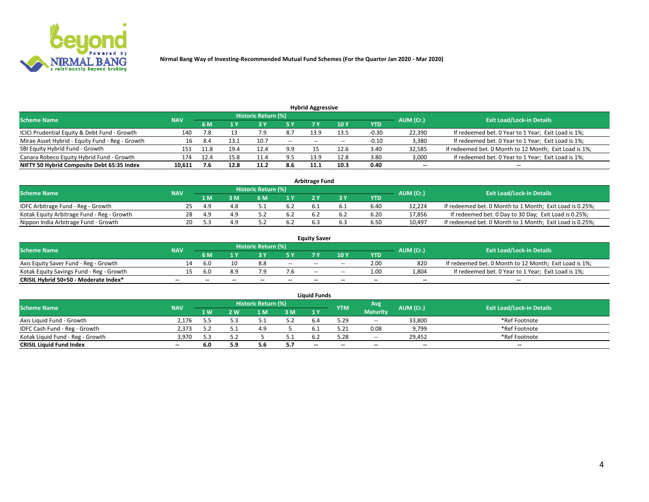

| <b>Hybrid Aggressive</b>                        |            |      |      |                            |        |                          |       |         |                          |                                                        |  |  |  |  |
|-------------------------------------------------|------------|------|------|----------------------------|--------|--------------------------|-------|---------|--------------------------|--------------------------------------------------------|--|--|--|--|
| <b>Scheme Name</b>                              | <b>NAV</b> |      |      | <b>Historic Return (%)</b> |        |                          |       |         | AUM (Cr.)                | <b>Exit Load/Lock-in Details</b>                       |  |  |  |  |
|                                                 |            | 6 M  |      |                            |        |                          | 10Y   | YTD     |                          |                                                        |  |  |  |  |
| ICICI Prudential Equity & Debt Fund - Growth    | 140        |      |      |                            | 8.7    | 13.9                     | 13.5  | $-0.30$ | 22,390                   | If redeemed bet. 0 Year to 1 Year; Exit Load is 1%;    |  |  |  |  |
| Mirae Asset Hybrid - Equity Fund - Reg - Growth | 16         | 8.4  | 13.1 | 10.7                       | $\sim$ | $\overline{\phantom{a}}$ | $- -$ | $-0.10$ | 3,380                    | If redeemed bet. 0 Year to 1 Year; Exit Load is 1%;    |  |  |  |  |
| SBI Equity Hybrid Fund - Growth                 | 151        | 11.8 | 19.4 | 12.4                       | 9.9    |                          | 12.6  | 3.40    | 32,585                   | If redeemed bet. 0 Month to 12 Month; Exit Load is 1%; |  |  |  |  |
| Canara Robeco Equity Hybrid Fund - Growth       | 174        | 12.4 | 15.8 | 11.4                       | 9.5    | 13.9                     | 12.8  | 3.80    | 3,000                    | If redeemed bet. 0 Year to 1 Year; Exit Load is 1%;    |  |  |  |  |
| NIFTY 50 Hybrid Composite Debt 65:35 Index      | 10,611     | 7.6  | 12.8 | 11.2                       | 8.6    | 11.1                     | 10.3  | 0.40    | $\overline{\phantom{a}}$ | $- -$                                                  |  |  |  |  |

|                                            |            |           |                                  |     |     | <b>Arbitrage Fund</b> |      |        |                                                          |
|--------------------------------------------|------------|-----------|----------------------------------|-----|-----|-----------------------|------|--------|----------------------------------------------------------|
| Scheme Name                                | <b>NAV</b> | AUM (Cr.) | <b>Exit Load/Lock-in Details</b> |     |     |                       |      |        |                                                          |
|                                            |            | 1 M       | ያ M                              | 6 M |     |                       | YTD  |        |                                                          |
| IDFC Arbitrage Fund - Reg - Growth         | 25.        | 4.9       |                                  |     | 6.2 |                       | 6.40 | 12.224 | If redeemed bet. 0 Month to 1 Month; Exit Load is 0.25%; |
| Kotak Equity Arbitrage Fund - Reg - Growth | 28.        | 4.9       |                                  |     | 6.2 |                       | 6.20 | 17,856 | If redeemed bet. 0 Day to 30 Day; Exit Load is 0.25%;    |
| Nippon India Arbitrage Fund - Growth       | 20         |           |                                  |     | 6.2 | b.:                   | 6.50 | 10.497 | If redeemed bet. 0 Month to 1 Month; Exit Load is 0.25%; |

|                                          |            |           |                                  |                 |                          | <b>Equity Saver</b>      |       |            |        |                                                        |
|------------------------------------------|------------|-----------|----------------------------------|-----------------|--------------------------|--------------------------|-------|------------|--------|--------------------------------------------------------|
| Scheme Name                              | <b>NAV</b> | AUM (Cr.) | <b>Exit Load/Lock-in Details</b> |                 |                          |                          |       |            |        |                                                        |
|                                          |            | 6 M       |                                  |                 | 5 V                      |                          | 10Y   | <b>YTD</b> |        |                                                        |
| Axis Equity Saver Fund - Reg - Growth    | 14         | -6.0      |                                  | 8.8             | $\sim$                   | $- -$                    | $- -$ | 2.00       | 820    | If redeemed bet. 0 Month to 12 Month; Exit Load is 1%; |
| Kotak Equity Savings Fund - Reg - Growth |            | -6.0      | 8.9                              |                 |                          | $\overline{\phantom{a}}$ | $- -$ | 1.00       | 1,804  | If redeemed bet. 0 Year to 1 Year; Exit Load is 1%;    |
| CRISIL Hybrid 50+50 - Moderate Index*    | $- -$      |           | $\overline{\phantom{a}}$         | $\qquad \qquad$ | $\overline{\phantom{a}}$ | $\sim$                   | --    | $- -$      | $\sim$ | $- -$                                                  |

| <b>Liquid Funds</b>              |            |      |     |                            |       |                |            |                 |                          |                                  |  |  |  |  |
|----------------------------------|------------|------|-----|----------------------------|-------|----------------|------------|-----------------|--------------------------|----------------------------------|--|--|--|--|
| Scheme Name                      | <b>NAV</b> |      |     | <b>Historic Return (%)</b> |       |                | <b>YTM</b> | Avg             | AUM (Cr.)                | <b>Exit Load/Lock-in Details</b> |  |  |  |  |
|                                  |            | 1 W. | ว พ | 1 M                        | 3M    | 1 <sup>Y</sup> |            | <b>Maturity</b> |                          |                                  |  |  |  |  |
| Axis Liquid Fund - Growth        | 2.176      |      | ≻ י |                            | 5.2   |                | 29.د       | $- -$           | 33,800                   | *Ref Footnote                    |  |  |  |  |
| IDFC Cash Fund - Reg - Growth    | 2.373      |      |     |                            |       |                | 5.21       | 0.08            | 9,799                    | *Ref Footnote                    |  |  |  |  |
| Kotak Liquid Fund - Reg - Growth | 3,970      |      |     |                            | ـ . ـ |                | .28        | $\sim$          | 29,452                   | *Ref Footnote                    |  |  |  |  |
| <b>CRISIL Liquid Fund Index</b>  | $- -$      | 6.0  |     | - -<br>5.t                 | 5.7   | $\sim$         | --         | $\sim$          | $\overline{\phantom{a}}$ | $\sim$                           |  |  |  |  |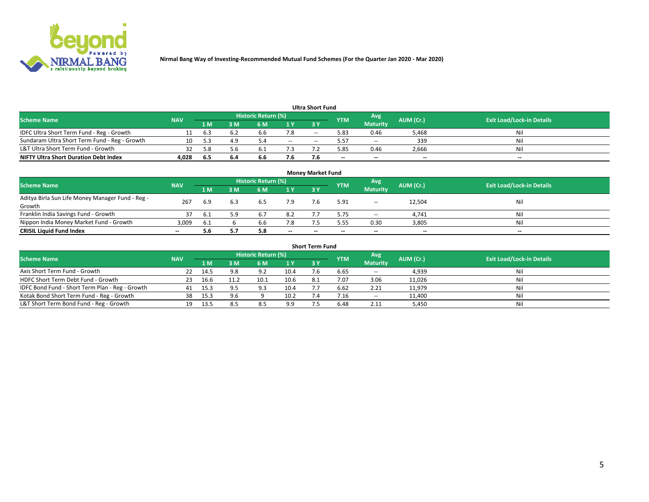

|                                               |            |      |     |                     |        | <b>Ultra Short Fund</b> |            |                          |           |                                  |
|-----------------------------------------------|------------|------|-----|---------------------|--------|-------------------------|------------|--------------------------|-----------|----------------------------------|
| <b>Scheme Name</b>                            | <b>NAV</b> |      |     | Historic Return (%) |        |                         | <b>YTM</b> | Avg                      | AUM (Cr.) | <b>Exit Load/Lock-in Details</b> |
|                                               |            | 1 M' | 3 M | 6 M                 | 1 Y    | <b>3Y</b>               |            | <b>Maturity</b>          |           |                                  |
| IDFC Ultra Short Term Fund - Reg - Growth     |            | 6.3  |     | b.b                 | 1.8    | $-$                     | 5.83       | 0.46                     | 5.468     | Nil                              |
| Sundaram Ultra Short Term Fund - Reg - Growth |            |      | 4.9 |                     | $\sim$ | $-$                     | 57ء        | $\overline{\phantom{a}}$ | 339       | Nil                              |
| L&T Ultra Short Term Fund - Growth            |            | 58   | 5.6 |                     |        |                         | 5.85       | 0.46                     | 2,666     | Nil                              |
| <b>NIFTY Ultra Short Duration Debt Index</b>  | 4,028      | -6.5 | 6.4 | 6.6                 | 7.6    |                         | --         | $-$                      | $- -$     | $- -$                            |

| <b>Money Market Fund</b>                         |                          |      |     |                     |                          |           |                          |                          |           |                                  |  |  |  |
|--------------------------------------------------|--------------------------|------|-----|---------------------|--------------------------|-----------|--------------------------|--------------------------|-----------|----------------------------------|--|--|--|
| <b>Scheme Name</b>                               | <b>NAV</b>               |      |     | Historic Return (%) |                          |           | <b>YTM</b>               | Avg                      | AUM (Cr.) | <b>Exit Load/Lock-in Details</b> |  |  |  |
|                                                  |                          | 1 M  | 3 M | 6 M                 | 1Y                       | <b>3Y</b> |                          | <b>Maturity</b>          |           |                                  |  |  |  |
| Aditya Birla Sun Life Money Manager Fund - Reg - | 267                      | 6.9  |     | 6.5                 | 7.9                      |           | 5.91                     | $\overline{\phantom{a}}$ | 12,504    | Nil                              |  |  |  |
| Growth                                           |                          |      |     |                     |                          |           |                          |                          |           |                                  |  |  |  |
| Franklin India Savings Fund - Growth             |                          | -6.1 | 59  | 6.7                 | 8.2                      |           | 5.75                     | $\sim$                   | 4,741     | Nil                              |  |  |  |
| Nippon India Money Market Fund - Growth          | 3,009                    | -6.1 |     | 6.6                 | 7.8                      |           | 5.55                     | 0.30                     | 3,805     | Nil                              |  |  |  |
| <b>CRISIL Liquid Fund Index</b>                  | $\overline{\phantom{a}}$ | 5.6  |     | 5.8                 | $\overline{\phantom{a}}$ | --        | $\overline{\phantom{a}}$ | $\sim$                   | $- -$     | $\overline{\phantom{a}}$         |  |  |  |

| <b>Short Term Fund</b>                          |            |      |     |                     |      |           |            |                 |           |                                  |  |  |  |  |
|-------------------------------------------------|------------|------|-----|---------------------|------|-----------|------------|-----------------|-----------|----------------------------------|--|--|--|--|
| <b>Scheme Name</b>                              | <b>NAV</b> |      |     | Historic Return (%) |      |           | <b>YTM</b> | Avg             | AUM (Cr.) | <b>Exit Load/Lock-in Details</b> |  |  |  |  |
|                                                 |            | 1 M  | 3 M | 6 M                 | 1Y   | <b>3Y</b> |            | <b>Maturity</b> |           |                                  |  |  |  |  |
| Axis Short Term Fund - Growth                   |            | 14.5 | 9.8 | 9.2                 | 10.4 |           | 6.65       | $-$             | 4,939     | Nil                              |  |  |  |  |
| HDFC Short Term Debt Fund - Growth              | 23         | 16.b |     | د.10                | 10.6 | 8.1       | 7.07       | 3.06            | 11,026    | Nil                              |  |  |  |  |
| IDFC Bond Fund - Short Term Plan - Reg - Growth | 41         | 15.3 |     | 9.3                 | 10.4 |           | 6.62       | 2.21            | 11,979    | Nil                              |  |  |  |  |
| Kotak Bond Short Term Fund - Reg - Growth       | 38         | 15.3 | 9.6 |                     | 10.2 |           | /.16       | $\sim$          | 11,400    | Nil                              |  |  |  |  |
| L&T Short Term Bond Fund - Reg - Growth         |            |      | 8.5 | 8.5                 | 9.9  |           | 6.48       | 2.11            | 5,450     | Nil                              |  |  |  |  |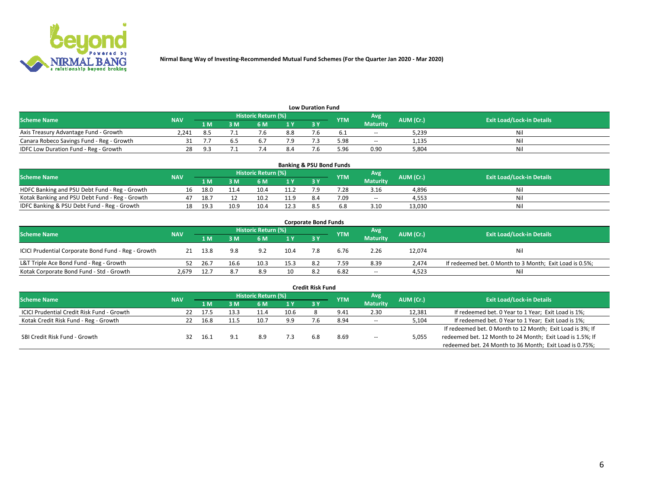

| <b>Low Duration Fund</b>                  |            |            |     |                     |                |     |            |                 |           |                                  |  |  |  |  |
|-------------------------------------------|------------|------------|-----|---------------------|----------------|-----|------------|-----------------|-----------|----------------------------------|--|--|--|--|
| <b>Scheme Name</b>                        | <b>NAV</b> |            |     | Historic Return (%) |                |     | <b>YTM</b> | Avg             | AUM (Cr.) | <b>Exit Load/Lock-in Details</b> |  |  |  |  |
|                                           |            | 1 M        | ያ M | 6 M                 | 1 <sub>V</sub> | 3 Y |            | <b>Maturity</b> |           |                                  |  |  |  |  |
| Axis Treasury Advantage Fund - Growth     | 2.241      |            |     |                     | 8.8            |     |            | $- -$           | 5,239     | Nil                              |  |  |  |  |
| Canara Robeco Savings Fund - Reg - Growth |            |            |     |                     |                |     | 5.98       | $- -$           | 1,135     | Nil                              |  |  |  |  |
| IDFC Low Duration Fund - Reg - Growth     | 28         | $\alpha$ : |     |                     | 8.4            |     | .96ذ       | 0.90            | 5.804     | Nil                              |  |  |  |  |

| <b>Banking &amp; PSU Bond Funds</b>            |            |      |      |                            |           |           |            |                 |           |                                  |  |  |  |
|------------------------------------------------|------------|------|------|----------------------------|-----------|-----------|------------|-----------------|-----------|----------------------------------|--|--|--|
| <b>Scheme Name</b>                             | <b>NAV</b> |      |      | <b>Historic Return (%)</b> |           |           | <b>YTM</b> | Avg             | AUM (Cr.) | <b>Exit Load/Lock-in Details</b> |  |  |  |
|                                                |            | 1 M  | sм   | 6 M                        | <b>1Y</b> | <b>3Y</b> |            | <b>Maturity</b> |           |                                  |  |  |  |
| HDFC Banking and PSU Debt Fund - Reg - Growth  | 16         | 18.0 | 11.4 | 10.4                       | 11.2      |           | 7.28       | 3.16            | 4,896     | Ni                               |  |  |  |
| Kotak Banking and PSU Debt Fund - Reg - Growth |            | 18.7 |      | 10.2                       | 11.9      | 8.4       | 7.09       | $\sim$ $\sim$   | 4.553     | Ni                               |  |  |  |
| IDFC Banking & PSU Debt Fund - Reg - Growth    |            | 19.3 | 10.9 | 10.4                       | 12.3      |           |            | 3.10            | 13.030    | Ni                               |  |  |  |

| <b>Corporate Bond Funds</b>                         |                                  |      |      |      |      |            |            |                 |           |                                                         |  |  |  |  |
|-----------------------------------------------------|----------------------------------|------|------|------|------|------------|------------|-----------------|-----------|---------------------------------------------------------|--|--|--|--|
| <b>Scheme Name</b>                                  | <b>Exit Load/Lock-in Details</b> |      |      |      |      |            |            |                 |           |                                                         |  |  |  |  |
|                                                     | <b>NAV</b>                       | 1 M  | 3 M  | 6 M  | 1 Y  | <b>3 Y</b> | <b>YTM</b> | <b>Maturity</b> | AUM (Cr.) |                                                         |  |  |  |  |
| ICICI Prudential Corporate Bond Fund - Reg - Growth |                                  | 13.8 | 9.8  | 9.2  | 10.4 |            | 6.76       | 2.26            | 12,074    | Nil                                                     |  |  |  |  |
| L&T Triple Ace Bond Fund - Reg - Growth             |                                  | 26.7 | 16.6 | 10.3 | 15.3 | 8.2        | 7.59       | 8.39            | 2.474     | If redeemed bet. 0 Month to 3 Month; Exit Load is 0.5%; |  |  |  |  |
| Kotak Corporate Bond Fund - Std - Growth            | 2.679                            | 12.7 | 8.7  | 8.9  | 10   | -8.2       | 6.82       | $\sim$ $\sim$   | 4,523     | Nil                                                     |  |  |  |  |

|                                            |            |       |      |                     |      | <b>Credit Risk Fund</b> |            |                 |           |                                                           |
|--------------------------------------------|------------|-------|------|---------------------|------|-------------------------|------------|-----------------|-----------|-----------------------------------------------------------|
| <b>Scheme Name</b>                         | <b>NAV</b> |       |      | Historic Return (%) |      |                         | <b>YTM</b> | Avg             | AUM (Cr.) | <b>Exit Load/Lock-in Details</b>                          |
|                                            |            | 1 M   | I M  | 6 M                 | 1 Y  | 3Y                      |            | <b>Maturity</b> |           |                                                           |
| ICICI Prudential Credit Risk Fund - Growth | -22        | -17.5 | 13.3 | 11.4                | 10.6 |                         | 9.41       | 2.30            | 12,381    | If redeemed bet. 0 Year to 1 Year; Exit Load is 1%;       |
| Kotak Credit Risk Fund - Reg - Growth      |            | 16.8  |      | 10.7                | 9.9  |                         | 8.94       | $-$             | 5,104     | If redeemed bet. 0 Year to 1 Year; Exit Load is 1%;       |
|                                            |            |       |      |                     |      |                         |            |                 |           | If redeemed bet. 0 Month to 12 Month; Exit Load is 3%; If |
| SBI Credit Risk Fund - Growth              |            | 16.1  |      | 8.9                 | 7.3  |                         | 8.69       | $\sim$          | 5,055     | redeemed bet. 12 Month to 24 Month; Exit Load is 1.5%; If |
|                                            |            |       |      |                     |      |                         |            |                 |           | redeemed bet. 24 Month to 36 Month; Exit Load is 0.75%;   |